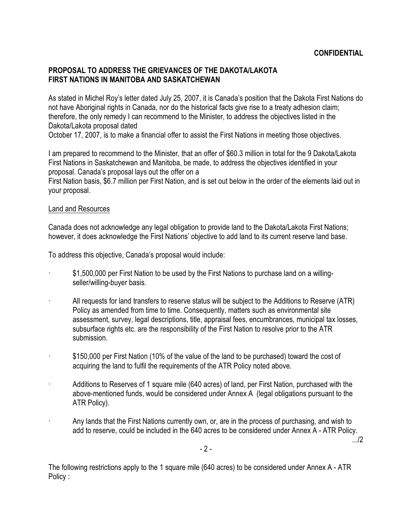# **PROPOSAL TO ADDRESS THE GRIEVANCES OF THE DAKOTA/LAKOTA FIRST NATIONS IN MANITOBA AND SASKATCHEWAN**

As stated in Michel Roy's letter dated July 25, 2007, it is Canada's position that the Dakota First Nations do not have Aboriginal rights in Canada, nor do the historical facts give rise to a treaty adhesion claim; therefore, the only remedy I can recommend to the Minister, to address the objectives listed in the Dakota/Lakota proposal dated

October 17, 2007, is to make a financial offer to assist the First Nations in meeting those objectives.

I am prepared to recommend to the Minister, that an offer of \$60.3 million in total for the 9 Dakota/Lakota First Nations in Saskatchewan and Manitoba, be made, to address the objectives identified in your proposal. Canada's proposal lays out the offer on a

First Nation basis, \$6.7 million per First Nation, and is set out below in the order of the elements laid out in your proposal.

## Land and Resources

Canada does not acknowledge any legal obligation to provide land to the Dakota/Lakota First Nations; however, it does acknowledge the First Nations' objective to add land to its current reserve land base.

To address this objective, Canada's proposal would include:

- · \$1,500,000 per First Nation to be used by the First Nations to purchase land on a willingseller/willing-buyer basis.
- · All requests for land transfers to reserve status will be subject to the Additions to Reserve (ATR) Policy as amended from time to time. Consequently, matters such as environmental site assessment, survey, legal descriptions, title, appraisal fees, encumbrances, municipal tax losses, subsurface rights etc. are the responsibility of the First Nation to resolve prior to the ATR submission.
- · \$150,000 per First Nation (10% of the value of the land to be purchased) toward the cost of acquiring the land to fulfil the requirements of the ATR Policy noted above.
- Additions to Reserves of 1 square mile (640 acres) of land, per First Nation, purchased with the above-mentioned funds, would be considered under Annex A (legal obligations pursuant to the ATR Policy).
- Any lands that the First Nations currently own, or, are in the process of purchasing, and wish to add to reserve, could be included in the 640 acres to be considered under Annex A - ATR Policy. .../2

The following restrictions apply to the 1 square mile (640 acres) to be considered under Annex A - ATR Policy :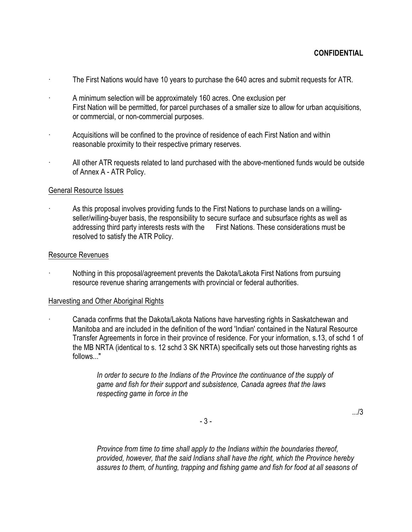- · The First Nations would have 10 years to purchase the 640 acres and submit requests for ATR.
- · A minimum selection will be approximately 160 acres. One exclusion per First Nation will be permitted, for parcel purchases of a smaller size to allow for urban acquisitions, or commercial, or non-commercial purposes.
- · Acquisitions will be confined to the province of residence of each First Nation and within reasonable proximity to their respective primary reserves.
- All other ATR requests related to land purchased with the above-mentioned funds would be outside of Annex A - ATR Policy.

## General Resource Issues

As this proposal involves providing funds to the First Nations to purchase lands on a willingseller/willing-buyer basis, the responsibility to secure surface and subsurface rights as well as addressing third party interests rests with the First Nations. These considerations must be resolved to satisfy the ATR Policy.

#### Resource Revenues

· Nothing in this proposal/agreement prevents the Dakota/Lakota First Nations from pursuing resource revenue sharing arrangements with provincial or federal authorities.

# Harvesting and Other Aboriginal Rights

· Canada confirms that the Dakota/Lakota Nations have harvesting rights in Saskatchewan and Manitoba and are included in the definition of the word 'Indian' contained in the Natural Resource Transfer Agreements in force in their province of residence. For your information, s.13, of schd 1 of the MB NRTA (identical to s. 12 schd 3 SK NRTA) specifically sets out those harvesting rights as follows..."

> *In order to secure to the Indians of the Province the continuance of the supply of game and fish for their support and subsistence, Canada agrees that the laws respecting game in force in the*

> > .../3

- 3 -

*Province from time to time shall apply to the Indians within the boundaries thereof, provided, however, that the said Indians shall have the right, which the Province hereby assures to them, of hunting, trapping and fishing game and fish for food at all seasons of*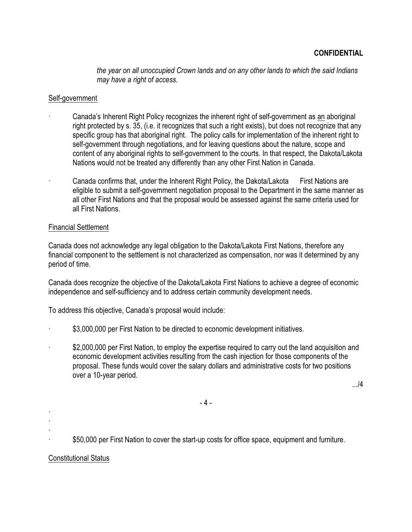*the year on all unoccupied Crown lands and on any other lands to which the said Indians may have a right of access.*

# Self-government

- · Canada's Inherent Right Policy recognizes the inherent right of self-government as an aboriginal right protected by s. 35, (i.e. it recognizes that such a right exists), but does not recognize that any specific group has that aboriginal right. The policy calls for implementation of the inherent right to self-government through negotiations, and for leaving questions about the nature, scope and content of any aboriginal rights to self-government to the courts. In that respect, the Dakota/Lakota Nations would not be treated any differently than any other First Nation in Canada.
- · Canada confirms that, under the Inherent Right Policy, the Dakota/Lakota First Nations are eligible to submit a self-government negotiation proposal to the Department in the same manner as all other First Nations and that the proposal would be assessed against the same criteria used for all First Nations.

## Financial Settlement

Canada does not acknowledge any legal obligation to the Dakota/Lakota First Nations, therefore any financial component to the settlement is not characterized as compensation, nor was it determined by any period of time.

Canada does recognize the objective of the Dakota/Lakota First Nations to achieve a degree of economic independence and self-sufficiency and to address certain community development needs.

To address this objective, Canada's proposal would include:

- \$3,000,000 per First Nation to be directed to economic development initiatives.
- \$2,000,000 per First Nation, to employ the expertise required to carry out the land acquisition and economic development activities resulting from the cash injection for those components of the proposal. These funds would cover the salary dollars and administrative costs for two positions over a 10-year period.

.../4

- 4 -

· ·

·

\$50,000 per First Nation to cover the start-up costs for office space, equipment and furniture.

#### Constitutional Status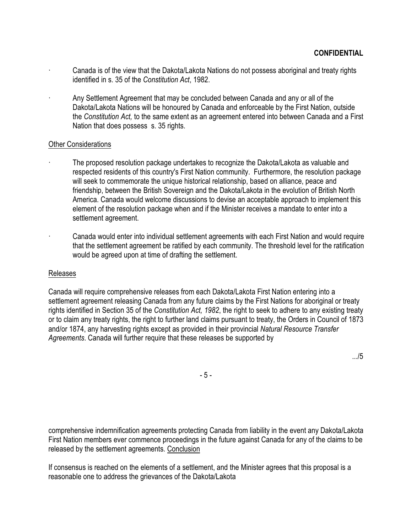- Canada is of the view that the Dakota/Lakota Nations do not possess aboriginal and treaty rights identified in s. 35 of the *Constitution Act*, 1982.
- · Any Settlement Agreement that may be concluded between Canada and any or all of the Dakota/Lakota Nations will be honoured by Canada and enforceable by the First Nation, outside the *Constitution Act,* to the same extent as an agreement entered into between Canada and a First Nation that does possess s. 35 rights.

## Other Considerations

- · The proposed resolution package undertakes to recognize the Dakota/Lakota as valuable and respected residents of this country's First Nation community. Furthermore, the resolution package will seek to commemorate the unique historical relationship, based on alliance, peace and friendship, between the British Sovereign and the Dakota/Lakota in the evolution of British North America. Canada would welcome discussions to devise an acceptable approach to implement this element of the resolution package when and if the Minister receives a mandate to enter into a settlement agreement.
	- · Canada would enter into individual settlement agreements with each First Nation and would require that the settlement agreement be ratified by each community. The threshold level for the ratification would be agreed upon at time of drafting the settlement.

#### Releases

Canada will require comprehensive releases from each Dakota/Lakota First Nation entering into a settlement agreement releasing Canada from any future claims by the First Nations for aboriginal or treaty rights identified in Section 35 of the *Constitution Act, 1982*, the right to seek to adhere to any existing treaty or to claim any treaty rights, the right to further land claims pursuant to treaty, the Orders in Council of 1873 and/or 1874, any harvesting rights except as provided in their provincial *Natural Resource Transfer Agreements*. Canada will further require that these releases be supported by

.../5

- 5 -

comprehensive indemnification agreements protecting Canada from liability in the event any Dakota/Lakota First Nation members ever commence proceedings in the future against Canada for any of the claims to be released by the settlement agreements. Conclusion

If consensus is reached on the elements of a settlement, and the Minister agrees that this proposal is a reasonable one to address the grievances of the Dakota/Lakota